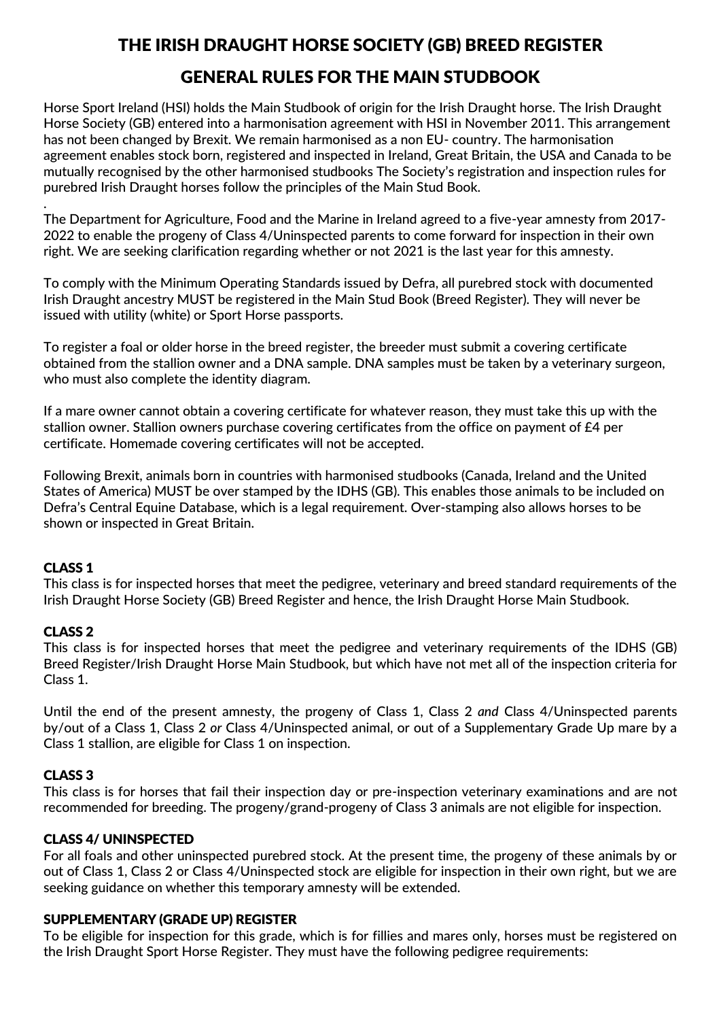# THE IRISH DRAUGHT HORSE SOCIETY (GB) BREED REGISTER

# GENERAL RULES FOR THE MAIN STUDBOOK

Horse Sport Ireland (HSI) holds the Main Studbook of origin for the Irish Draught horse. The Irish Draught Horse Society (GB) entered into a harmonisation agreement with HSI in November 2011. This arrangement has not been changed by Brexit. We remain harmonised as a non EU- country. The harmonisation agreement enables stock born, registered and inspected in Ireland, Great Britain, the USA and Canada to be mutually recognised by the other harmonised studbooks The Society's registration and inspection rules for purebred Irish Draught horses follow the principles of the Main Stud Book.

. The Department for Agriculture, Food and the Marine in Ireland agreed to a five-year amnesty from 2017- 2022 to enable the progeny of Class 4/Uninspected parents to come forward for inspection in their own right. We are seeking clarification regarding whether or not 2021 is the last year for this amnesty.

To comply with the Minimum Operating Standards issued by Defra, all purebred stock with documented Irish Draught ancestry MUST be registered in the Main Stud Book (Breed Register). They will never be issued with utility (white) or Sport Horse passports.

To register a foal or older horse in the breed register, the breeder must submit a covering certificate obtained from the stallion owner and a DNA sample. DNA samples must be taken by a veterinary surgeon, who must also complete the identity diagram.

If a mare owner cannot obtain a covering certificate for whatever reason, they must take this up with the stallion owner. Stallion owners purchase covering certificates from the office on payment of £4 per certificate. Homemade covering certificates will not be accepted.

Following Brexit, animals born in countries with harmonised studbooks (Canada, Ireland and the United States of America) MUST be over stamped by the IDHS (GB). This enables those animals to be included on Defra's Central Equine Database, which is a legal requirement. Over-stamping also allows horses to be shown or inspected in Great Britain.

## CLASS 1

This class is for inspected horses that meet the pedigree, veterinary and breed standard requirements of the Irish Draught Horse Society (GB) Breed Register and hence, the Irish Draught Horse Main Studbook.

#### CLASS 2

This class is for inspected horses that meet the pedigree and veterinary requirements of the IDHS (GB) Breed Register/Irish Draught Horse Main Studbook, but which have not met all of the inspection criteria for Class 1.

Until the end of the present amnesty, the progeny of Class 1, Class 2 *and* Class 4/Uninspected parents by/out of a Class 1, Class 2 *or* Class 4/Uninspected animal, or out of a Supplementary Grade Up mare by a Class 1 stallion, are eligible for Class 1 on inspection.

## CLASS 3

This class is for horses that fail their inspection day or pre-inspection veterinary examinations and are not recommended for breeding. The progeny/grand-progeny of Class 3 animals are not eligible for inspection.

#### CLASS 4/ UNINSPECTED

For all foals and other uninspected purebred stock. At the present time, the progeny of these animals by or out of Class 1, Class 2 or Class 4/Uninspected stock are eligible for inspection in their own right, but we are seeking guidance on whether this temporary amnesty will be extended.

#### SUPPLEMENTARY (GRADE UP) REGISTER

To be eligible for inspection for this grade, which is for fillies and mares only, horses must be registered on the Irish Draught Sport Horse Register. They must have the following pedigree requirements: